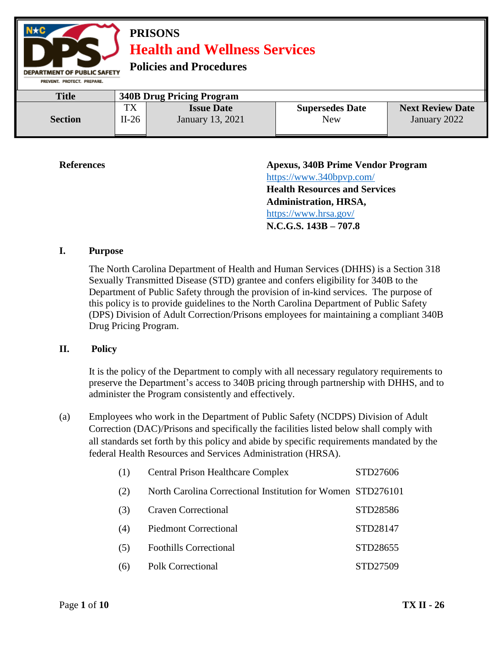

**References Apexus, 340B Prime Vendor Program**  <https://www.340bpvp.com/> **Health Resources and Services Administration, HRSA,**  <https://www.hrsa.gov/> **N.C.G.S. 143B – 707.8**

#### **I. Purpose**

The North Carolina Department of Health and Human Services (DHHS) is a Section 318 Sexually Transmitted Disease (STD) grantee and confers eligibility for 340B to the Department of Public Safety through the provision of in-kind services. The purpose of this policy is to provide guidelines to the North Carolina Department of Public Safety (DPS) Division of Adult Correction/Prisons employees for maintaining a compliant 340B Drug Pricing Program.

#### **II. Policy**

It is the policy of the Department to comply with all necessary regulatory requirements to preserve the Department's access to 340B pricing through partnership with DHHS, and to administer the Program consistently and effectively.

(a) Employees who work in the Department of Public Safety (NCDPS) Division of Adult Correction (DAC)/Prisons and specifically the facilities listed below shall comply with all standards set forth by this policy and abide by specific requirements mandated by the federal Health Resources and Services Administration (HRSA).

| (1) | <b>Central Prison Healthcare Complex</b>                    | STD27606 |
|-----|-------------------------------------------------------------|----------|
| (2) | North Carolina Correctional Institution for Women STD276101 |          |
| (3) | <b>Craven Correctional</b>                                  | STD28586 |
| (4) | <b>Piedmont Correctional</b>                                | STD28147 |
| (5) | <b>Foothills Correctional</b>                               | STD28655 |
| (6) | Polk Correctional                                           | STD27509 |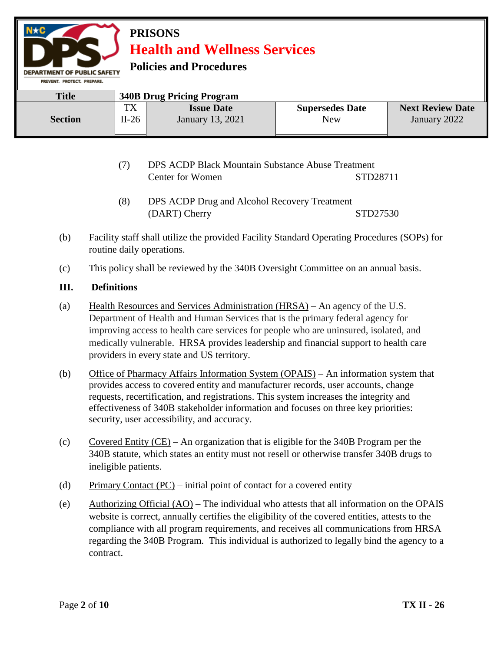**Policies and Procedures** 

| PREVENI, PRUIECI, PREPARE. |               |                                       |                               |                                         |
|----------------------------|---------------|---------------------------------------|-------------------------------|-----------------------------------------|
| <b>Title</b>               |               | <b>340B Drug Pricing Program</b>      |                               |                                         |
| <b>Section</b>             | TX<br>$II-26$ | <b>Issue Date</b><br>January 13, 2021 | <b>Supersedes Date</b><br>New | <b>Next Review Date</b><br>January 2022 |
|                            |               |                                       |                               |                                         |

- (7) DPS ACDP Black Mountain Substance Abuse Treatment Center for Women STD28711
- (8) DPS ACDP Drug and Alcohol Recovery Treatment (DART) Cherry STD27530
- (b) Facility staff shall utilize the provided Facility Standard Operating Procedures (SOPs) for routine daily operations.
- (c) This policy shall be reviewed by the 340B Oversight Committee on an annual basis.

#### **III. Definitions**

DEPARTMENT OF PUBLIC SAFETY

- (a) Health Resources and Services Administration (HRSA) An agency of the U.S. Department of Health and Human Services that is the primary federal agency for improving access to health care services for people who are uninsured, isolated, and medically vulnerable. HRSA provides leadership and financial support to health care providers in every state and US territory.
- (b) Office of Pharmacy Affairs Information System (OPAIS) An information system that provides access to covered entity and manufacturer records, user accounts, change requests, recertification, and registrations. This system increases the integrity and effectiveness of 340B stakeholder information and focuses on three key priorities: security, user accessibility, and accuracy.
- (c) Covered Entity (CE) An organization that is eligible for the 340B Program per the 340B statute, which states an entity must not resell or otherwise transfer 340B drugs to ineligible patients.
- (d) Primary Contact (PC) initial point of contact for a covered entity
- (e) Authorizing Official  $(AO)$  The individual who attests that all information on the OPAIS website is correct, annually certifies the eligibility of the covered entities, attests to the compliance with all program requirements, and receives all communications from HRSA regarding the 340B Program. This individual is authorized to legally bind the agency to a contract.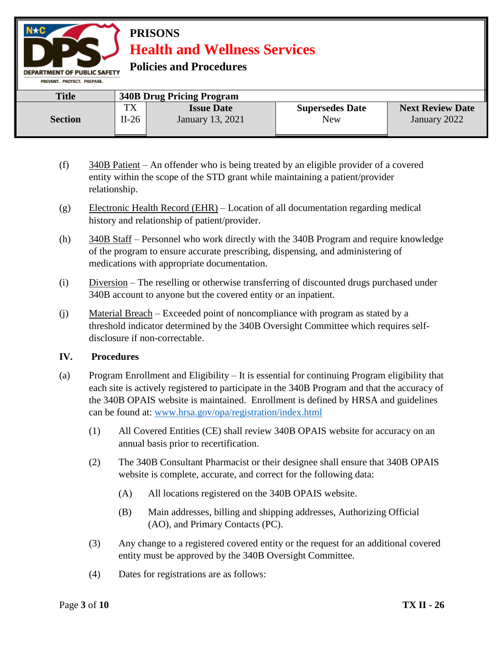**Policies and Procedures** 

| PREVENT, PROTECT, PREPARE, |               |                                              |                               |                                         |
|----------------------------|---------------|----------------------------------------------|-------------------------------|-----------------------------------------|
| <b>Title</b>               |               | <b>340B Drug Pricing Program</b>             |                               |                                         |
| <b>Section</b>             | TX<br>$II-26$ | <b>Issue Date</b><br><b>January</b> 13, 2021 | <b>Supersedes Date</b><br>New | <b>Next Review Date</b><br>January 2022 |

- (f) 340B Patient An offender who is being treated by an eligible provider of a covered entity within the scope of the STD grant while maintaining a patient/provider relationship.
- (g) Electronic Health Record (EHR) Location of all documentation regarding medical history and relationship of patient/provider.
- (h) 340B Staff Personnel who work directly with the 340B Program and require knowledge of the program to ensure accurate prescribing, dispensing, and administering of medications with appropriate documentation.
- (i) Diversion The reselling or otherwise transferring of discounted drugs purchased under 340B account to anyone but the covered entity or an inpatient.
- (j) Material Breach Exceeded point of noncompliance with program as stated by a threshold indicator determined by the 340B Oversight Committee which requires selfdisclosure if non-correctable.

#### **IV. Procedures**

**DEPARTMENT OF PUBLIC SAFETY** 

- (a) Program Enrollment and Eligibility It is essential for continuing Program eligibility that each site is actively registered to participate in the 340B Program and that the accuracy of the 340B OPAIS website is maintained. Enrollment is defined by HRSA and guidelines can be found at: [www.hrsa.gov/opa/registration/index.html](http://www.hrsa.gov/opa/registration/index.html) 
	- (1) All Covered Entities (CE) shall review 340B OPAIS website for accuracy on an annual basis prior to recertification.
	- (2) The 340B Consultant Pharmacist or their designee shall ensure that 340B OPAIS website is complete, accurate, and correct for the following data:
		- (A) All locations registered on the 340B OPAIS website.
		- (B) Main addresses, billing and shipping addresses, Authorizing Official (AO), and Primary Contacts (PC).
	- (3) Any change to a registered covered entity or the request for an additional covered entity must be approved by the 340B Oversight Committee.
	- (4) Dates for registrations are as follows: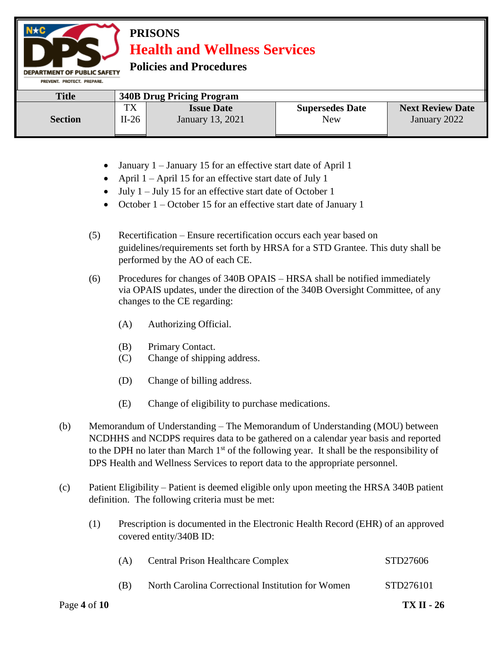**Policies and Procedures** 

**DEPARTMENT OF PUBLIC SAFETY** 

| PREVENT, PROTECT, PREPARE, |         |                                  |                        |                         |  |
|----------------------------|---------|----------------------------------|------------------------|-------------------------|--|
| <b>Title</b>               |         | <b>340B Drug Pricing Program</b> |                        |                         |  |
|                            | TX      | <b>Issue Date</b>                | <b>Supersedes Date</b> | <b>Next Review Date</b> |  |
| <b>Section</b>             | $II-26$ | January 13, 2021                 | New                    | January 2022            |  |

- January 1 January 15 for an effective start date of April 1
- April  $1 -$ April 15 for an effective start date of July 1
- $\bullet$  July 1 July 15 for an effective start date of October 1
- October 1 October 15 for an effective start date of January 1
- (5) Recertification Ensure recertification occurs each year based on guidelines/requirements set forth by HRSA for a STD Grantee. This duty shall be performed by the AO of each CE.
- (6) Procedures for changes of 340B OPAIS HRSA shall be notified immediately via OPAIS updates, under the direction of the 340B Oversight Committee, of any changes to the CE regarding:
	- (A) Authorizing Official.
	- (B) Primary Contact.
	- (C) Change of shipping address.
	- (D) Change of billing address.
	- (E) Change of eligibility to purchase medications.
- (b) Memorandum of Understanding The Memorandum of Understanding (MOU) between NCDHHS and NCDPS requires data to be gathered on a calendar year basis and reported to the DPH no later than March  $1<sup>st</sup>$  of the following year. It shall be the responsibility of DPS Health and Wellness Services to report data to the appropriate personnel.
- (c) Patient Eligibility Patient is deemed eligible only upon meeting the HRSA 340B patient definition. The following criteria must be met:
	- (1) Prescription is documented in the Electronic Health Record (EHR) of an approved covered entity/340B ID:

| Page 4 of $10$ |     |                                                   | <b>TX II - 26</b> |
|----------------|-----|---------------------------------------------------|-------------------|
|                | (B) | North Carolina Correctional Institution for Women | STD276101         |
|                | (A) | <b>Central Prison Healthcare Complex</b>          | STD27606          |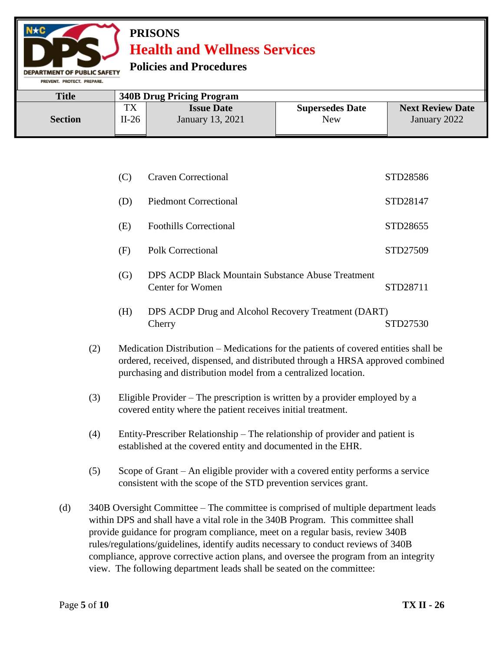#### **Policies and Procedures**

**MENT OF PUBLIC SAFETY** PREVENT. PROTECT. PREPARE

| <b>Title</b>   |         | <b>340B Drug Pricing Program</b> |                        |                         |
|----------------|---------|----------------------------------|------------------------|-------------------------|
| <b>Section</b> | TV      | <b>Issue Date</b>                | <b>Supersedes Date</b> | <b>Next Review Date</b> |
|                | $II-26$ | January 13, 2021                 | New                    | January 2022            |

| (C) | <b>Craven Correctional</b>    | STD28586 |
|-----|-------------------------------|----------|
| (D) | <b>Piedmont Correctional</b>  | STD28147 |
| (E) | <b>Foothills Correctional</b> | STD28655 |
| (F) | Polk Correctional             | STD27509 |

- (G) DPS ACDP Black Mountain Substance Abuse Treatment Center for Women STD28711
- (H) DPS ACDP Drug and Alcohol Recovery Treatment (DART) Cherry STD27530
- (2) Medication Distribution Medications for the patients of covered entities shall be ordered, received, dispensed, and distributed through a HRSA approved combined purchasing and distribution model from a centralized location.
- (3) Eligible Provider The prescription is written by a provider employed by a covered entity where the patient receives initial treatment.
- (4) Entity-Prescriber Relationship The relationship of provider and patient is established at the covered entity and documented in the EHR.
- (5) Scope of Grant An eligible provider with a covered entity performs a service consistent with the scope of the STD prevention services grant.
- (d) 340B Oversight Committee The committee is comprised of multiple department leads within DPS and shall have a vital role in the 340B Program. This committee shall provide guidance for program compliance, meet on a regular basis, review 340B rules/regulations/guidelines, identify audits necessary to conduct reviews of 340B compliance, approve corrective action plans, and oversee the program from an integrity view. The following department leads shall be seated on the committee: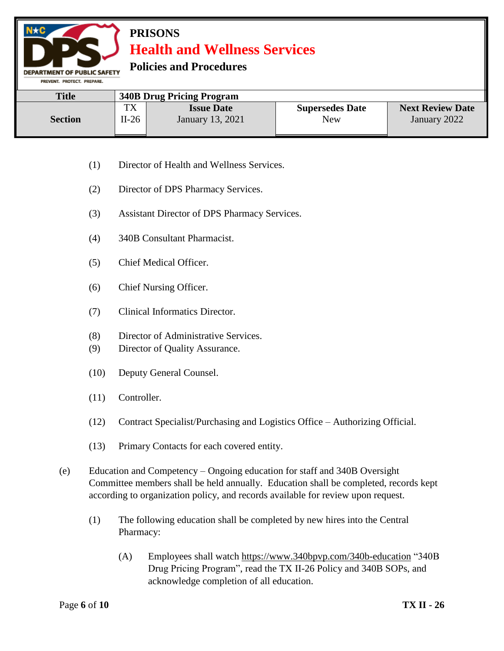**Policies and Procedures** 

**DEPARTMENT OF PUBLIC SAFETY** PREVENT. PROTECT. PREPARE.

| <b>Title</b>   | <b>340B Drug Pricing Program</b> |                   |                        |                         |  |
|----------------|----------------------------------|-------------------|------------------------|-------------------------|--|
| <b>Section</b> | <b>TX</b>                        | <b>Issue Date</b> | <b>Supersedes Date</b> | <b>Next Review Date</b> |  |
|                | $II-26$                          | January 13, 2021  | New                    | January 2022            |  |

- (1) Director of Health and Wellness Services.
- (2) Director of DPS Pharmacy Services.
- (3) Assistant Director of DPS Pharmacy Services.
- (4) 340B Consultant Pharmacist.
- (5) Chief Medical Officer.
- (6) Chief Nursing Officer.
- (7) Clinical Informatics Director.
- (8) Director of Administrative Services.
- (9) Director of Quality Assurance.
- (10) Deputy General Counsel.
- (11) Controller.
- (12) Contract Specialist/Purchasing and Logistics Office Authorizing Official.
- (13) Primary Contacts for each covered entity.
- (e) Education and Competency Ongoing education for staff and 340B Oversight Committee members shall be held annually. Education shall be completed, records kept according to organization policy, and records available for review upon request.
	- (1) The following education shall be completed by new hires into the Central Pharmacy:
		- (A) Employees shall watch<https://www.340bpvp.com/340b-education> "340B Drug Pricing Program", read the TX II-26 Policy and 340B SOPs, and acknowledge completion of all education.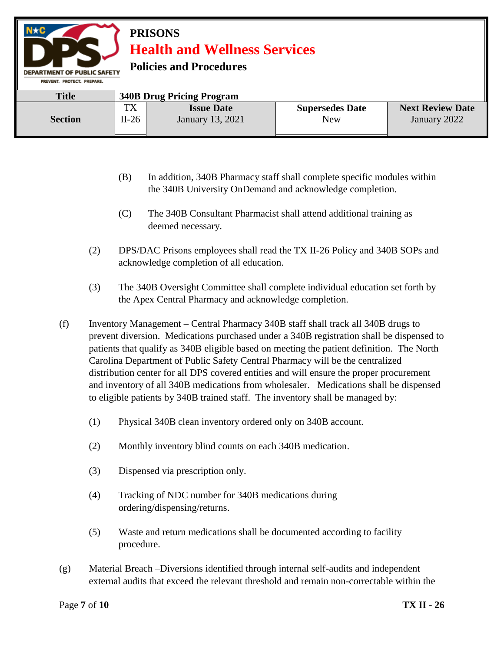### **PRISONS Health and Wellness Services Policies and Procedures DEPARTMENT OF PUBLIC SAFETY** PREVENT. PROTECT. PREPARE.

| <b>Title</b>   | <b>340B Drug Pricing Program</b> |                                       |                               |                                         |
|----------------|----------------------------------|---------------------------------------|-------------------------------|-----------------------------------------|
| <b>Section</b> | тv<br>ıΛ<br>$II-26$              | <b>Issue Date</b><br>January 13, 2021 | <b>Supersedes Date</b><br>New | <b>Next Review Date</b><br>January 2022 |

- (B) In addition, 340B Pharmacy staff shall complete specific modules within the 340B University OnDemand and acknowledge completion.
- (C) The 340B Consultant Pharmacist shall attend additional training as deemed necessary.
- (2) DPS/DAC Prisons employees shall read the TX II-26 Policy and 340B SOPs and acknowledge completion of all education.
- (3) The 340B Oversight Committee shall complete individual education set forth by the Apex Central Pharmacy and acknowledge completion.
- (f) Inventory Management Central Pharmacy 340B staff shall track all 340B drugs to prevent diversion. Medications purchased under a 340B registration shall be dispensed to patients that qualify as 340B eligible based on meeting the patient definition. The North Carolina Department of Public Safety Central Pharmacy will be the centralized distribution center for all DPS covered entities and will ensure the proper procurement and inventory of all 340B medications from wholesaler. Medications shall be dispensed to eligible patients by 340B trained staff. The inventory shall be managed by:
	- (1) Physical 340B clean inventory ordered only on 340B account.
	- (2) Monthly inventory blind counts on each 340B medication.
	- (3) Dispensed via prescription only.
	- (4) Tracking of NDC number for 340B medications during ordering/dispensing/returns.
	- (5) Waste and return medications shall be documented according to facility procedure.
- (g) Material Breach –Diversions identified through internal self-audits and independent external audits that exceed the relevant threshold and remain non-correctable within the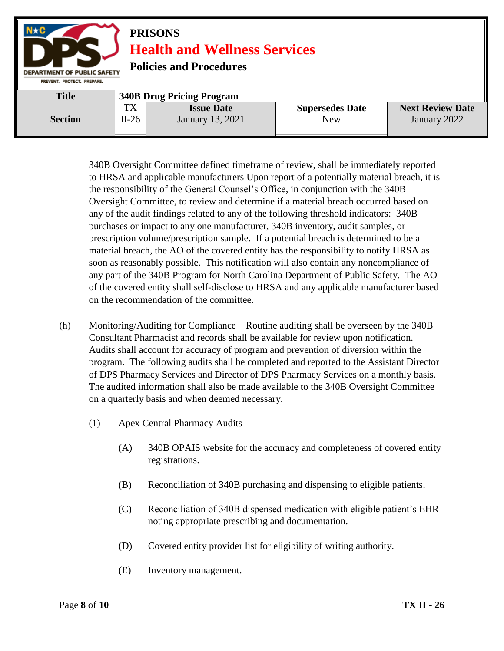

340B Oversight Committee defined timeframe of review, shall be immediately reported to HRSA and applicable manufacturers Upon report of a potentially material breach, it is the responsibility of the General Counsel's Office, in conjunction with the 340B Oversight Committee, to review and determine if a material breach occurred based on any of the audit findings related to any of the following threshold indicators: 340B purchases or impact to any one manufacturer, 340B inventory, audit samples, or prescription volume/prescription sample. If a potential breach is determined to be a material breach, the AO of the covered entity has the responsibility to notify HRSA as soon as reasonably possible. This notification will also contain any noncompliance of any part of the 340B Program for North Carolina Department of Public Safety. The AO of the covered entity shall self-disclose to HRSA and any applicable manufacturer based on the recommendation of the committee.

- (h) Monitoring/Auditing for Compliance Routine auditing shall be overseen by the 340B Consultant Pharmacist and records shall be available for review upon notification. Audits shall account for accuracy of program and prevention of diversion within the program. The following audits shall be completed and reported to the Assistant Director of DPS Pharmacy Services and Director of DPS Pharmacy Services on a monthly basis. The audited information shall also be made available to the 340B Oversight Committee on a quarterly basis and when deemed necessary.
	- (1) Apex Central Pharmacy Audits
		- (A) 340B OPAIS website for the accuracy and completeness of covered entity registrations.
		- (B) Reconciliation of 340B purchasing and dispensing to eligible patients.
		- (C) Reconciliation of 340B dispensed medication with eligible patient's EHR noting appropriate prescribing and documentation.
		- (D) Covered entity provider list for eligibility of writing authority.
		- (E) Inventory management.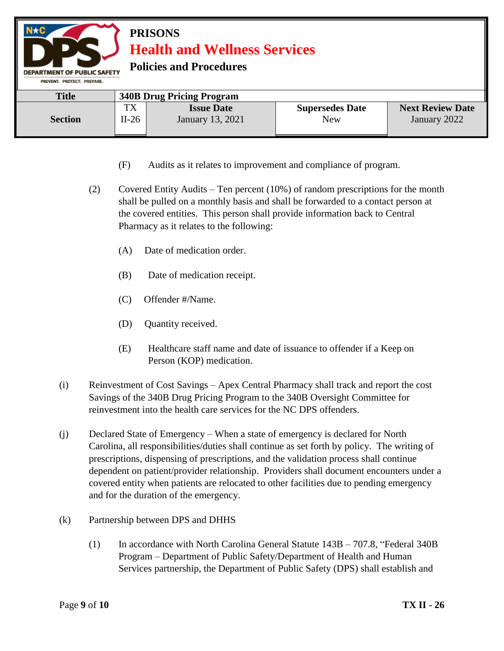| $N \star C$<br><b>PRISONS</b><br><b>Health and Wellness Services</b><br><b>Policies and Procedures</b><br><b>DEPARTMENT OF PUBLIC SAFETY</b><br>PREVENT, PROTECT, PREPARE. |               |                                       |                                      |                                         |  |
|----------------------------------------------------------------------------------------------------------------------------------------------------------------------------|---------------|---------------------------------------|--------------------------------------|-----------------------------------------|--|
| <b>Title</b>                                                                                                                                                               |               | <b>340B Drug Pricing Program</b>      |                                      |                                         |  |
| <b>Section</b>                                                                                                                                                             | TX<br>$II-26$ | <b>Issue Date</b><br>January 13, 2021 | <b>Supersedes Date</b><br><b>New</b> | <b>Next Review Date</b><br>January 2022 |  |

- (F) Audits as it relates to improvement and compliance of program.
- (2) Covered Entity Audits Ten percent (10%) of random prescriptions for the month shall be pulled on a monthly basis and shall be forwarded to a contact person at the covered entities. This person shall provide information back to Central Pharmacy as it relates to the following:
	- (A) Date of medication order.
	- (B) Date of medication receipt.
	- (C) Offender #/Name.
	- (D) Quantity received.
	- (E) Healthcare staff name and date of issuance to offender if a Keep on Person (KOP) medication.
- (i) Reinvestment of Cost Savings Apex Central Pharmacy shall track and report the cost Savings of the 340B Drug Pricing Program to the 340B Oversight Committee for reinvestment into the health care services for the NC DPS offenders.
- (j) Declared State of Emergency When a state of emergency is declared for North Carolina, all responsibilities/duties shall continue as set forth by policy. The writing of prescriptions, dispensing of prescriptions, and the validation process shall continue dependent on patient/provider relationship. Providers shall document encounters under a covered entity when patients are relocated to other facilities due to pending emergency and for the duration of the emergency.
- (k) Partnership between DPS and DHHS
	- (1) In accordance with North Carolina General Statute 143B 707.8, "Federal 340B Program – Department of Public Safety/Department of Health and Human Services partnership, the Department of Public Safety (DPS) shall establish and